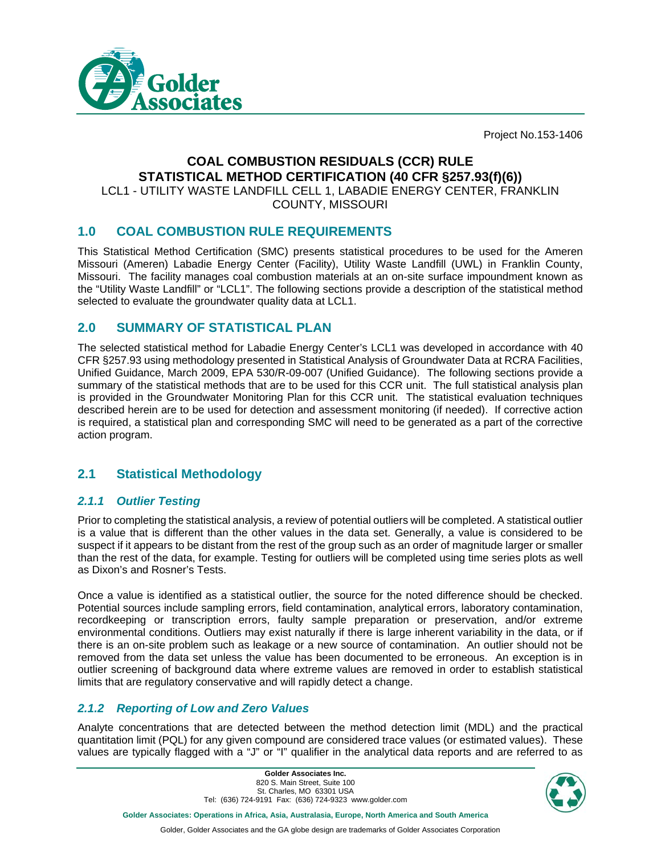

Project No.153-1406

# **COAL COMBUSTION RESIDUALS (CCR) RULE STATISTICAL METHOD CERTIFICATION (40 CFR §257.93(f)(6))**

LCL1 - UTILITY WASTE LANDFILL CELL 1, LABADIE ENERGY CENTER, FRANKLIN COUNTY, MISSOURI

## **1.0 COAL COMBUSTION RULE REQUIREMENTS**

This Statistical Method Certification (SMC) presents statistical procedures to be used for the Ameren Missouri (Ameren) Labadie Energy Center (Facility), Utility Waste Landfill (UWL) in Franklin County, Missouri. The facility manages coal combustion materials at an on-site surface impoundment known as the "Utility Waste Landfill" or "LCL1". The following sections provide a description of the statistical method selected to evaluate the groundwater quality data at LCL1.

## **2.0 SUMMARY OF STATISTICAL PLAN**

The selected statistical method for Labadie Energy Center's LCL1 was developed in accordance with 40 CFR §257.93 using methodology presented in Statistical Analysis of Groundwater Data at RCRA Facilities, Unified Guidance, March 2009, EPA 530/R-09-007 (Unified Guidance). The following sections provide a summary of the statistical methods that are to be used for this CCR unit. The full statistical analysis plan is provided in the Groundwater Monitoring Plan for this CCR unit. The statistical evaluation techniques described herein are to be used for detection and assessment monitoring (if needed). If corrective action is required, a statistical plan and corresponding SMC will need to be generated as a part of the corrective action program.

## **2.1 Statistical Methodology**

### *2.1.1 Outlier Testing*

Prior to completing the statistical analysis, a review of potential outliers will be completed. A statistical outlier is a value that is different than the other values in the data set. Generally, a value is considered to be suspect if it appears to be distant from the rest of the group such as an order of magnitude larger or smaller than the rest of the data, for example. Testing for outliers will be completed using time series plots as well as Dixon's and Rosner's Tests.

Once a value is identified as a statistical outlier, the source for the noted difference should be checked. Potential sources include sampling errors, field contamination, analytical errors, laboratory contamination, recordkeeping or transcription errors, faulty sample preparation or preservation, and/or extreme environmental conditions. Outliers may exist naturally if there is large inherent variability in the data, or if there is an on-site problem such as leakage or a new source of contamination. An outlier should not be removed from the data set unless the value has been documented to be erroneous. An exception is in outlier screening of background data where extreme values are removed in order to establish statistical limits that are regulatory conservative and will rapidly detect a change.

## *2.1.2 Reporting of Low and Zero Values*

Analyte concentrations that are detected between the method detection limit (MDL) and the practical quantitation limit (PQL) for any given compound are considered trace values (or estimated values). These values are typically flagged with a "J" or "I" qualifier in the analytical data reports and are referred to as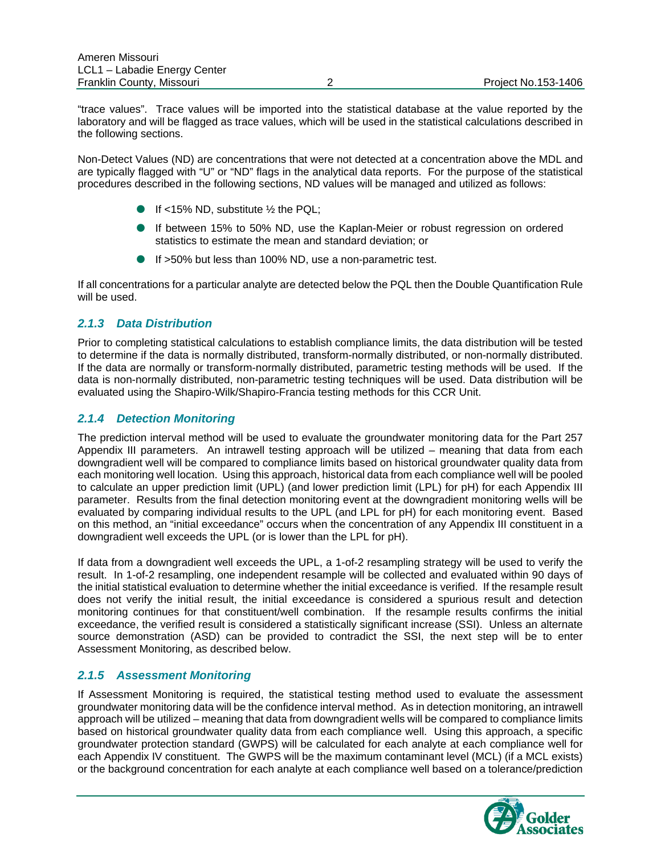"trace values". Trace values will be imported into the statistical database at the value reported by the laboratory and will be flagged as trace values, which will be used in the statistical calculations described in the following sections.

Non-Detect Values (ND) are concentrations that were not detected at a concentration above the MDL and are typically flagged with "U" or "ND" flags in the analytical data reports. For the purpose of the statistical procedures described in the following sections, ND values will be managed and utilized as follows:

- If <15% ND, substitute  $\frac{1}{2}$  the PQL;
- If between 15% to 50% ND, use the Kaplan-Meier or robust regression on ordered statistics to estimate the mean and standard deviation; or
- If >50% but less than 100% ND, use a non-parametric test.

If all concentrations for a particular analyte are detected below the PQL then the Double Quantification Rule will be used.

### *2.1.3 Data Distribution*

Prior to completing statistical calculations to establish compliance limits, the data distribution will be tested to determine if the data is normally distributed, transform-normally distributed, or non-normally distributed. If the data are normally or transform-normally distributed, parametric testing methods will be used. If the data is non-normally distributed, non-parametric testing techniques will be used. Data distribution will be evaluated using the Shapiro-Wilk/Shapiro-Francia testing methods for this CCR Unit.

## *2.1.4 Detection Monitoring*

The prediction interval method will be used to evaluate the groundwater monitoring data for the Part 257 Appendix III parameters. An intrawell testing approach will be utilized – meaning that data from each downgradient well will be compared to compliance limits based on historical groundwater quality data from each monitoring well location. Using this approach, historical data from each compliance well will be pooled to calculate an upper prediction limit (UPL) (and lower prediction limit (LPL) for pH) for each Appendix III parameter. Results from the final detection monitoring event at the downgradient monitoring wells will be evaluated by comparing individual results to the UPL (and LPL for pH) for each monitoring event. Based on this method, an "initial exceedance" occurs when the concentration of any Appendix III constituent in a downgradient well exceeds the UPL (or is lower than the LPL for pH).

If data from a downgradient well exceeds the UPL, a 1-of-2 resampling strategy will be used to verify the result. In 1-of-2 resampling, one independent resample will be collected and evaluated within 90 days of the initial statistical evaluation to determine whether the initial exceedance is verified. If the resample result does not verify the initial result, the initial exceedance is considered a spurious result and detection monitoring continues for that constituent/well combination. If the resample results confirms the initial exceedance, the verified result is considered a statistically significant increase (SSI). Unless an alternate source demonstration (ASD) can be provided to contradict the SSI, the next step will be to enter Assessment Monitoring, as described below.

### *2.1.5 Assessment Monitoring*

If Assessment Monitoring is required, the statistical testing method used to evaluate the assessment groundwater monitoring data will be the confidence interval method. As in detection monitoring, an intrawell approach will be utilized – meaning that data from downgradient wells will be compared to compliance limits based on historical groundwater quality data from each compliance well. Using this approach, a specific groundwater protection standard (GWPS) will be calculated for each analyte at each compliance well for each Appendix IV constituent. The GWPS will be the maximum contaminant level (MCL) (if a MCL exists) or the background concentration for each analyte at each compliance well based on a tolerance/prediction

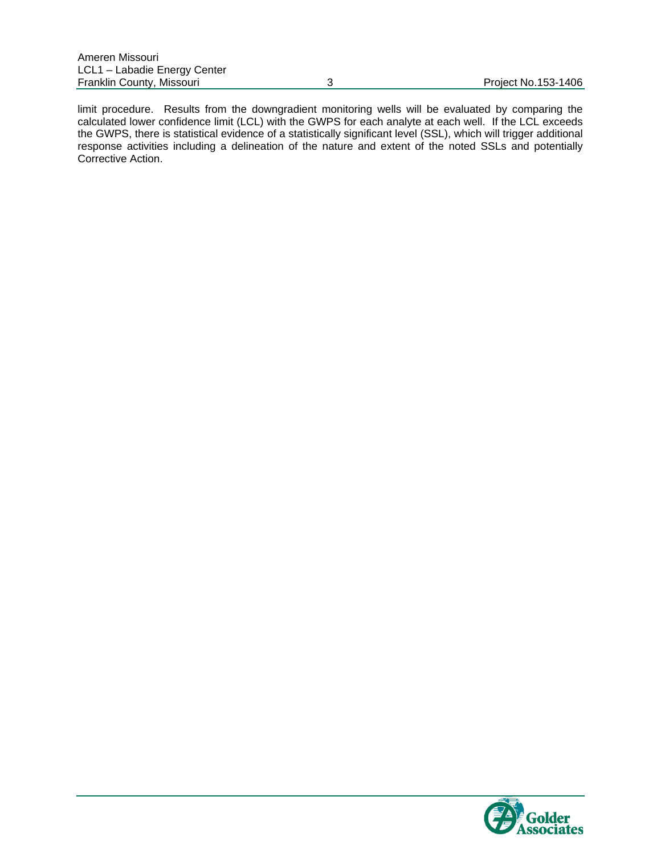limit procedure. Results from the downgradient monitoring wells will be evaluated by comparing the calculated lower confidence limit (LCL) with the GWPS for each analyte at each well. If the LCL exceeds the GWPS, there is statistical evidence of a statistically significant level (SSL), which will trigger additional response activities including a delineation of the nature and extent of the noted SSLs and potentially Corrective Action.